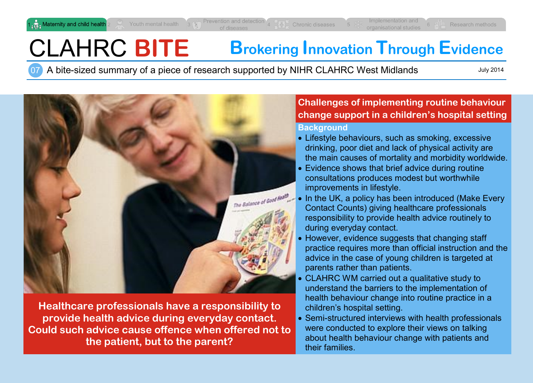# CLAHRC **BITE Brokering Innovation Through Evidence**

07 A bite-sized summary of a piece of research supported by NIHR CLAHRC West Midlands

July 2014



**Healthcare professionals have a responsibility to provide health advice during everyday contact. Could such advice cause offence when offered not to the patient, but to the parent?**

# **Challenges of implementing routine behaviour change support in a children's hospital setting**

#### **Background**

- Lifestyle behaviours, such as smoking, excessive drinking, poor diet and lack of physical activity are the main causes of mortality and morbidity worldwide.
- Evidence shows that brief advice during routine consultations produces modest but worthwhile improvements in lifestyle.
- In the UK, a policy has been introduced (Make Every Contact Counts) giving healthcare professionals responsibility to provide health advice routinely to during everyday contact.
- However, evidence suggests that changing staff practice requires more than official instruction and the advice in the case of young children is targeted at parents rather than patients.
- CLAHRC WM carried out a qualitative study to understand the barriers to the implementation of health behaviour change into routine practice in a children's hospital setting.
- Semi-structured interviews with health professionals were conducted to explore their views on talking about health behaviour change with patients and their families.